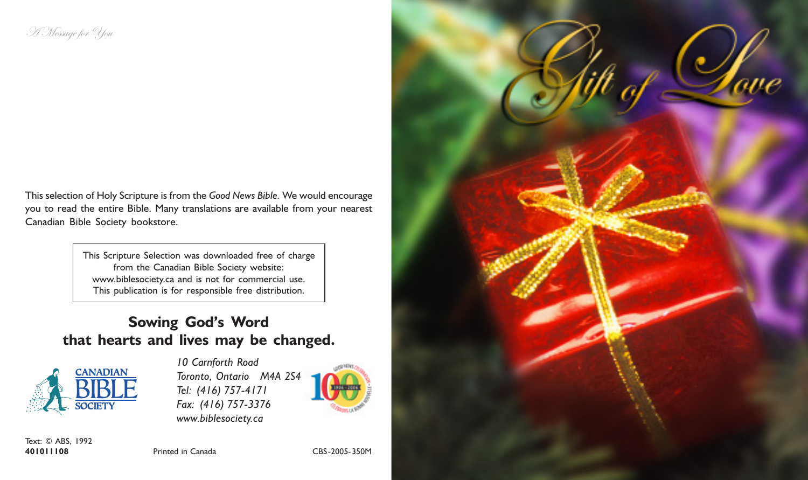This selection of Holy Scripture is from the Good News Bible. We would encourage you to read the entire Bible. Many translations are available from your nearest Canadian Bible Society bookstore.

> This Scripture Selection was downloaded free of charge from the Canadian Bible Society website: www.biblesociety.ca and is not for commercial use. This publication is for responsible free distribution.

## Sowing God's Word that hearts and lives may be changed.



10 Carnforth Road Toronto, Ontario M4A 2S4 Tel: (416) 757-4171 Fax: (416) 757-3376 www.biblesociety.ca



Text: © ABS, 1992 401011108 Printed in Canada CBS-2005-350M